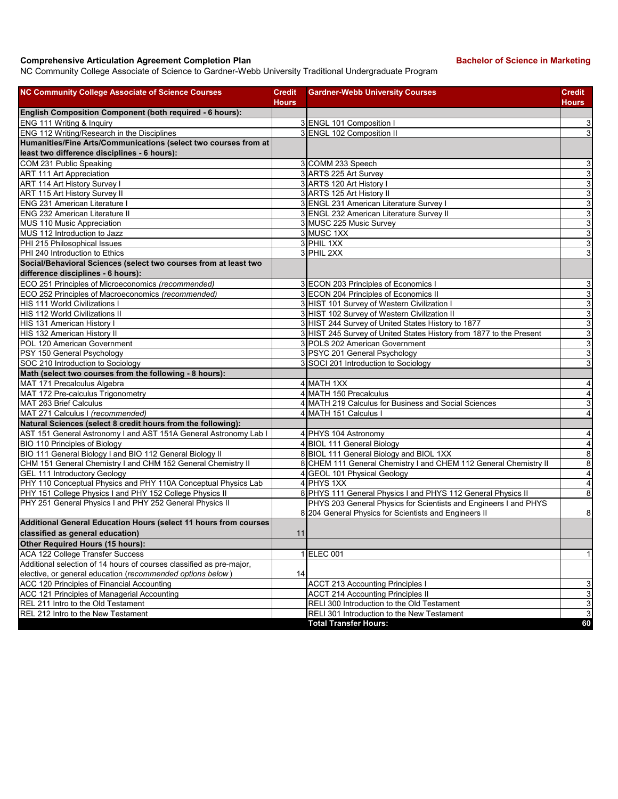## **Comprehensive Articulation Agreement Completion Plan Bachelor of Science in Marketing**

NC Community College Associate of Science to Gardner-Webb University Traditional Undergraduate Program

| <b>NC Community College Associate of Science Courses</b>             | <b>Credit</b><br><b>Hours</b> | <b>Gardner-Webb University Courses</b>                              | <b>Credit</b><br><b>Hours</b> |
|----------------------------------------------------------------------|-------------------------------|---------------------------------------------------------------------|-------------------------------|
| English Composition Component (both required - 6 hours):             |                               |                                                                     |                               |
| ENG 111 Writing & Inquiry                                            |                               | 3 ENGL 101 Composition I                                            | 3                             |
| ENG 112 Writing/Research in the Disciplines                          |                               | 3 ENGL 102 Composition II                                           | 3                             |
| Humanities/Fine Arts/Communications (select two courses from at      |                               |                                                                     |                               |
| least two difference disciplines - 6 hours):                         |                               |                                                                     |                               |
| COM 231 Public Speaking                                              |                               | 3 COMM 233 Speech                                                   | 3                             |
| ART 111 Art Appreciation                                             |                               | 3 ARTS 225 Art Survey                                               | 3                             |
| ART 114 Art History Survey I                                         |                               | 3 ARTS 120 Art History I                                            | $\mathbf{3}$                  |
| ART 115 Art History Survey II                                        |                               | 3 ARTS 125 Art History II                                           | 3                             |
| <b>ENG 231 American Literature I</b>                                 |                               | 3 ENGL 231 American Literature Survey I                             | 3                             |
| <b>ENG 232 American Literature II</b>                                |                               | 3 ENGL 232 American Literature Survey II                            | $\overline{3}$                |
| MUS 110 Music Appreciation                                           |                               | 3 MUSC 225 Music Survey                                             | 3                             |
| MUS 112 Introduction to Jazz                                         |                               | 3 MUSC 1XX                                                          | 3                             |
| PHI 215 Philosophical Issues                                         |                               | 3 PHIL 1XX                                                          | 3                             |
| PHI 240 Introduction to Ethics                                       |                               | 3 PHIL 2XX                                                          | 3                             |
| Social/Behavioral Sciences (select two courses from at least two     |                               |                                                                     |                               |
| difference disciplines - 6 hours):                                   |                               |                                                                     |                               |
| ECO 251 Principles of Microeconomics (recommended)                   |                               | 3 ECON 203 Principles of Economics I                                | 3                             |
| ECO 252 Principles of Macroeconomics (recommended)                   |                               | 3 ECON 204 Principles of Economics II                               | 3                             |
| HIS 111 World Civilizations I                                        |                               | 3 HIST 101 Survey of Western Civilization I                         | 3                             |
| HIS 112 World Civilizations II                                       |                               | 3 HIST 102 Survey of Western Civilization II                        | 3                             |
| HIS 131 American History I                                           |                               | 3 HIST 244 Survey of United States History to 1877                  | 3                             |
| HIS 132 American History II                                          |                               | 3 HIST 245 Survey of United States History from 1877 to the Present | 3                             |
| POL 120 American Government                                          |                               | 3 POLS 202 American Government                                      | 3                             |
| PSY 150 General Psychology                                           |                               | 3 PSYC 201 General Psychology                                       | 3                             |
| SOC 210 Introduction to Sociology                                    |                               | 3 SOCI 201 Introduction to Sociology                                | 3                             |
| Math (select two courses from the following - 8 hours):              |                               |                                                                     |                               |
| MAT 171 Precalculus Algebra                                          |                               | 4 MATH 1XX                                                          | 4                             |
| MAT 172 Pre-calculus Trigonometry                                    |                               | 4 MATH 150 Precalculus                                              | $\overline{4}$                |
| MAT 263 Brief Calculus                                               |                               | 4 MATH 219 Calculus for Business and Social Sciences                | 3                             |
| MAT 271 Calculus I (recommended)                                     |                               | 4 MATH 151 Calculus I                                               | $\overline{4}$                |
| Natural Sciences (select 8 credit hours from the following):         |                               |                                                                     |                               |
| AST 151 General Astronomy I and AST 151A General Astronomy Lab I     |                               | 4 PHYS 104 Astronomy                                                | 4                             |
| BIO 110 Principles of Biology                                        |                               | 4 BIOL 111 General Biology                                          | $\overline{\mathbf{4}}$       |
| BIO 111 General Biology I and BIO 112 General Biology II             |                               | 8 BIOL 111 General Biology and BIOL 1XX                             | 8                             |
| CHM 151 General Chemistry I and CHM 152 General Chemistry II         |                               | 8 CHEM 111 General Chemistry I and CHEM 112 General Chemistry II    | 8                             |
| GEL 111 Introductory Geology                                         |                               | 4 GEOL 101 Physical Geology                                         | $\overline{4}$                |
| PHY 110 Conceptual Physics and PHY 110A Conceptual Physics Lab       |                               | 4 PHYS 1XX                                                          | $\overline{4}$                |
| PHY 151 College Physics I and PHY 152 College Physics II             |                               | 8 PHYS 111 General Physics I and PHYS 112 General Physics II        | 8                             |
| PHY 251 General Physics I and PHY 252 General Physics II             |                               | PHYS 203 General Physics for Scientists and Engineers I and PHYS    |                               |
|                                                                      |                               | 8 204 General Physics for Scientists and Engineers II               | 8                             |
| Additional General Education Hours (select 11 hours from courses     |                               |                                                                     |                               |
| classified as general education)                                     | 11                            |                                                                     |                               |
| Other Required Hours (15 hours):                                     |                               |                                                                     |                               |
| ACA 122 College Transfer Success                                     |                               | 1 ELEC 001                                                          | 1                             |
| Additional selection of 14 hours of courses classified as pre-major, |                               |                                                                     |                               |
| elective, or general education (recommended options below)           | 14                            |                                                                     |                               |
| ACC 120 Principles of Financial Accounting                           |                               | <b>ACCT 213 Accounting Principles I</b>                             | 3                             |
| ACC 121 Principles of Managerial Accounting                          |                               | <b>ACCT 214 Accounting Principles II</b>                            | 3                             |
| REL 211 Intro to the Old Testament                                   |                               | RELI 300 Introduction to the Old Testament                          | 3                             |
| REL 212 Intro to the New Testament                                   |                               | RELI 301 Introduction to the New Testament                          | 3                             |
|                                                                      |                               | <b>Total Transfer Hours:</b>                                        | 60                            |